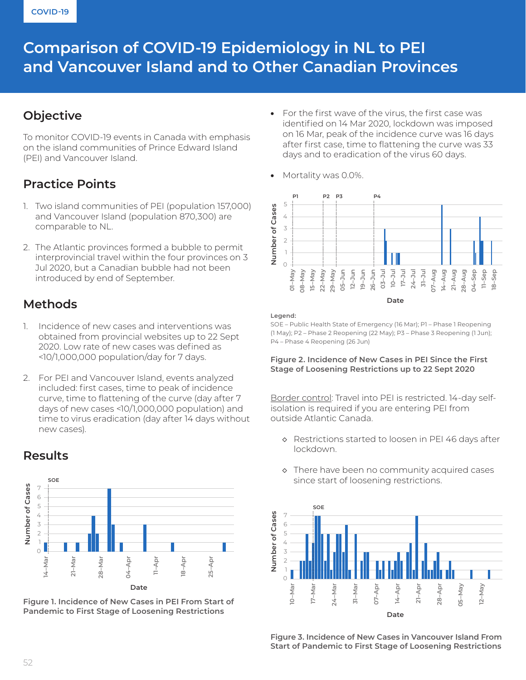# **Comparison of COVID-19 Epidemiology in NL to PEI and Vancouver Island and to Other Canadian Provinces**

### **Objective**

To monitor COVID-19 events in Canada with emphasis on the island communities of Prince Edward Island (PEI) and Vancouver Island.

## **Practice Points**

- 1. Two island communities of PEI (population 157,000) and Vancouver Island (population 870,300) are comparable to NL.
- 2. The Atlantic provinces formed a bubble to permit interprovincial travel within the four provinces on 3 Jul 2020, but a Canadian bubble had not been introduced by end of September.

### **Methods**

- 1. Incidence of new cases and interventions was obtained from provincial websites up to 22 Sept 2020. Low rate of new cases was defined as <10/1,000,000 population/day for 7 days.
- 2. For PEI and Vancouver Island, events analyzed included: first cases, time to peak of incidence curve, time to flattening of the curve (day after 7 days of new cases <10/1,000,000 population) and time to virus eradication (day after 14 days without new cases).

#### **SOE** Number of Cases **Number of Cases** 7 6 5 4 3 2 1 0 **11–Apr 21–Mar 28–Mar 04–Apr 18–Apr 25–Apr 14–Mar Date**

**Figure 1. Incidence of New Cases in PEI From Start of Pandemic to First Stage of Loosening Restrictions**

- For the first wave of the virus, the first case was identified on 14 Mar 2020, lockdown was imposed on 16 Mar, peak of the incidence curve was 16 days after first case, time to flattening the curve was 33 days and to eradication of the virus 60 days.
- Mortality was 0.0%.



#### **Legend:**

SOE – Public Health State of Emergency (16 Mar); P1 – Phase 1 Reopening (1 May); P2 – Phase 2 Reopening (22 May); P3 – Phase 3 Reopening (1 Jun); P4 – Phase 4 Reopening (26 Jun)

### **Figure 2. Incidence of New Cases in PEI Since the First Stage of Loosening Restrictions up to 22 Sept 2020**

Border control: Travel into PEI is restricted. 14-day selfisolation is required if you are entering PEI from outside Atlantic Canada.

- ◇ Restrictions started to loosen in PEI 46 days after lockdown.
- ◇ There have been no community acquired cases since start of loosening restrictions.



**Figure 3. Incidence of New Cases in Vancouver Island From Start of Pandemic to First Stage of Loosening Restrictions**

### **Results**